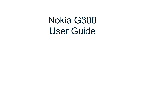# Nokia G300 User Guide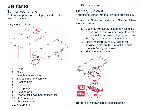# Get started

#### Turn on your phone To turn your phone on or off, press and hold the Power/Lock key.

## Keys and parts



- 1. Flash
- 2. Camera
- 3. Google Assistant key
- 4. SIM and memory card slot
- 5. Front camera
- 6. Earpiece
- 7. Microphone
- 8. Volume keys
- 9. Power/Lock key/Fingerprint sensor
- 10. USB connector
- 11. Headset connector
- 12. Microphone

#### 13. Loudspeaker

## Memory/SIM card

Your phone comes with the SIM card preinstalled.

To swap the SIM or to insert a microSD card, follow the steps below.

- 1. Open the Memory/SIM card tray using the pin tool included in your package. Insert the pin tool in the tray hole and gently push until the tray ejects, then slide the tray out.
- 2. Place the microSD or SIM card in the designated slot on the tray with the metal contacts facing downward.
- 3. Slide the tray back in.



**Note:** The microSD card is sold separately.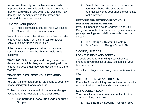**Important:** Use only compatible memory cards approved for use with this device. Do not remove the memory card while in use by an app. Doing so may damage the memory card and the device and corrupt data stored on the card.

## Charge your phone

- 1. Plug a compatible charger into a wall outlet.
- 2. Connect the cable to your phone.

Your phone supports the USB-C cable. You can also charge your phone from a computer with a USB cable, but it may take a longer time.

If the battery is completely drained, it may take several minutes before the charging indicator is displayed.

**WARNING:** Only use approved chargers with your device. Incompatible chargers or tampering with the charger port could damage your device and void the warranty.

#### **TRANSFER DATA FROM YOUR PREVIOUS PHONE**

You can transfer data from an old phone to your new phone using your Google account.

To back up data on your old phone to your Google account, refer to your old phone's user guide.

1. Tap **Settings > Accounts** > **Add account** > **Google**.

2. Select which data you want to restore on your new phone. The sync starts automatically once your phone is connected to the internet.

#### **RESTORE APP SETTINGS FROM YOUR PREVIOUS ANDROID PHONE**

If your old phone is also an Android™, and your Google account back up is enabled, you can restore your app settings and Wi-Fi passwords using the steps below.

- 1. Tap **Settings** > **System > Backup**.
- 2. Turn **Backup to Google Drive** to **On**.

## Security settings **LOCK THE KEYS AND SCREEN**

To avoid accidentally making a call when your phone is in your pocket or bag, you can lock your keys and screen.

To lock your keys and screen, press the Power/Lock key.

#### **UNLOCK THE KEYS AND SCREEN**

Press the Power/Lock key, and swipe up across the screen. If asked, provide additional credentials.

#### **SET A SCREEN LOCK**

You can set your phone to require authentication when unlocking the screen.

1. Tap **Settings** > **Security** > **Screen lock**.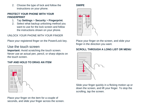2. Choose the type of lock and follow the instructions on your phone.

#### **PROTECT YOUR PHONE WITH YOUR FINGERPRINT**

- 1. Tap **Settings** > **Security** > **Fingerprint**.
- 2. Select what backup unlocking method you want to use for the lock screen and follow the instructions shown on your phone.

UNLOCK YOUR PHONE WITH YOUR FINGER

Place your registered finger on the Power/Lock key.

## Use the touch screen

**Important:** Avoid scratching the touch screen. Never use an actual pen, pencil, or sharp objects on the touch screen.

#### **TAP AND HOLD TO DRAG AN ITEM**



Place your finger on the item for a couple of seconds, and slide your finger across the screen.

#### **SWIPE**



Place your finger on the screen, and slide your finger in the direction you want.

#### **SCROLL THROUGH A LONG LIST OR MENU**



Slide your finger quickly in a flicking motion up or down the screen, and lift your finger. To stop the scrolling, tap the screen.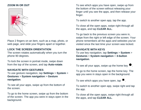#### **ZOOM IN OR OUT**



Place 2 fingers on an item, such as a map, photo, or web page, and slide your fingers apart or together.

#### **LOCK THE SCREEN ORIENTATION**

The screen rotates automatically when you turn the phone 90 degrees.

To lock the screen in portrait mode, swipe down from the top of the screen, and tap **Auto-rotate**.

#### **NAVIGATE WITH GESTURES**

To use gesture navigation, tap **Settings** > **System** > **Gestures** > **System navigation** > **Gesture navigation**.

To see all your apps, swipe up from the bottom of the screen.

To go to the home screen, swipe up from the bottom of the screen. The app you were in stays open in the background.

To see which apps you have open, swipe up from the bottom of the screen without releasing your finger until you see the apps, and then release your finger.

To switch to another open app, tap the app.

To close all the open apps, swipe right through all the apps, and tap **CLEAR ALL**.

To go back to the previous screen you were in, swipe from the right or left edge of the screen. Your phone remembers all the apps and websites you've visited since the last time your screen was locked.

#### **NAVIGATE WITH KEYS**

To use key navigation, tap **Settings** > **System** > **Gestures** > **System navigation** > **3-button navigation**.

To see all your apps, swipe up the home key  $\bullet$ .

To go to the home screen, tap the home key. The app you were in stays open in the background.

To see which apps you have open, tap  $\blacksquare$ .

To switch to another open app, swipe right and tap the app.

To close all the open apps, swipe right through all the apps, and tap **CLEAR ALL**.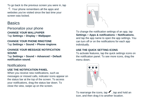To go back to the previous screen you were in, tap  $\triangle$ . Your phone remembers all the apps and websites you've visited since the last time your screen was locked.

# **Basics**

Personalize your phone **CHANGE YOUR WALLPAPER** Tap **Settings** > **Display** > **Wallpaper**.

**CHANGE YOUR PHONE RINGTONE** Tap **Settings** > **Sound** > **Phone ringtone**.

#### **CHANGE YOUR MESSAGE NOTIFICATION SOUND**

Tap **Settings** > **Sound** > **Advanced** > **Default notification sound**.

## **Notifications**

#### **USE THE NOTIFICATION PANEL**

When you receive new notifications, such as messages or missed calls, indicator icons appear on the status bar at the top of the screen. To access your notifications, drag the status bar down. To close the view, swipe up on the screen.



To change the notification settings of an app, tap **Settings** > **Apps & notifications** > **Notifications**, and tap the app name to open the app settings. You can turn off or on the notifications for each app individually.

#### **USE THE QUICK SETTING ICONS**

To activate features, tap the quick settings icons on the notification panel. To see more icons, drag the menu down.



To rearrange the icons, tap  $\blacktriangleright$ , tap and hold an icon, and then drag it to another location.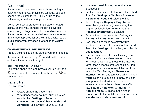## Control volume

If you have trouble hearing your phone ringing in noisy environments, or calls are too loud, you can change the volume to your liking by using the volume keys on the side of your phone.

Do not connect to products that create an output signal, as this may damage the device. Do not connect any voltage source to the audio connector. If you connect an external device or headset, other than those approved for use with this device, to the audio connector, pay special attention to volume levels.

#### **CHANGE THE VOLUME SETTINGS**

Press a volume key on the side of your phone to see the volume status bar, tap  $\Xi$ , and drag the sliders on the volume bars left or right.

#### **SET THE PHONE TO SILENT**

To set the phone to silent, press a volume key, tap  $\Phi$  to set your phone to vibrate only and tap  $\Psi$  to set it to silent.

#### Battery life

To save power:

- Always charge the battery fully.
- Mute unnecessary sounds, such as touch sounds. Tap **Settings** > **Sound** > **Advanced**, and under **Other sounds and vibrations**, select which sounds to keep.
- Use wired headphones, rather than the loudspeaker.
- Set the phone screen to turn off after a short time. Tap **Settings** > **Display** > **Advanced** > **Screen timeout** and select the time.
- Tap **Settings** > **Display** > **Brightness level**. To adjust the brightness, drag the brightness level slider. Make sure that **Adaptive brightness** is disabled.
- Turn on the power saver: tap **Settings** > **Battery** > **Battery Saver**, and turn ON.
- Use location services selectively: turn location services OFF when you don't need them. Tap **Settings** > **Location**, and disable **Use location**.
- Use network connections selectively: turn Bluetooth ON only when needed. Use a Wi-Fi connection to connect to the internet, rather than a mobile data connection. Stop your phone scanning for available wireless networks. Tap **Settings** > **Network & internet** > **Wi-Fi**, and turn **Use Wi-Fi** OFF. If you're listening to music or otherwise using your phone, but don't want to make or receive calls, turn the airplane mode ON. Tap **Settings** > **Network & internet > Airplane mode**. Airplane mode closes connections to the mobile network and turns your device's wireless features off.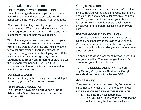#### Automatic text correction **USE KEYBOARD WORD SUGGESTIONS**

Your phone suggests words as you write, to help you write quickly and more accurately. Word suggestions may not be available in all languages.

When you start writing a word, your phone suggests possible words. When the word you want is shown in the suggestion bar, select the word. To see more suggestions, tap and hold the suggestion.

**Tip:** If the suggested word is marked in bold, your phone automatically uses it to replace the word you wrote. If the word is wrong, tap and hold it to see a few other suggestions. If you do not want the keyboard to suggest words while typing, turn off the text corrections. Tap **Settings** > **System** > **Languages & input** > **On-screen keyboard**. Select the keyboard you normally use. Tap **Text correction** and turn off the text correction methods you do not want to use.

#### **CORRECT A WORD**

If you notice that you have misspelled a word, tap it to see suggestions for correcting the word.

#### **TURN SPELL CHECKER OFF**

Tap **Settings** > **System** > **Languages & input** > **Advanced** > **Spell checker**, and turn **Use spell checker** OFF.

## Google Assistant

Google Assistant can help you search information online, translate words and sentences, make notes and calendar appointments, for example. You can use Google Assistant even when your phone is locked. However, Google Assistant asks you to unlock your phone before accessing your private data.

#### **USE THE GOOGLE ASSISTANT KEY**

To access the Google Assistant services, press the Google Assistant key on the side of your phone. When you press the key for the first time, you are asked to sign in with your Google account or create a new account.

To speak with Google Assistant, press the key and ask your question. You see Google Assistant's answer on your phone's display.

#### **TURN THE GOOGLE ASSISTANT KEY OFF** Tap **Settings** > **System** > **Gestures** > **Google Assistant button**, and turn the key OFF.

## **Accessibility**

You can change or turn Accessibility features on or off as needed to make your phone easier to use.

#### **INCREASE OR DECREASE THE FONT SIZE**

- 1. Tap **Settings** > **Accessibility**.
- 2. Tap **Font size**. To increase or decrease the font size, drag the font size level slider.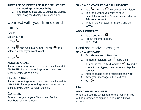#### **INCREASE OR DECREASE THE DISPLAY SIZE**

- 1. Tap **Settings** > **Accessibility**.
- 2. Tap **Display size** and to adjust the display size, drag the display size level slider.

# Connect with your friends and family

Calls

**MAKE A CALL**

1. Tap  $\mathcal{L}_{\bullet}$ .

2. Tap  $\mathbf{H}$  and type in a number, or tap  $\mathbf{H}$  and select a contact you want to call.

# 3. Tap  $\mathbf{L}$ .

## **ANSWER A CALL**

If your phone rings when the screen is unlocked, tap **ANSWER**. If your phone rings when the screen is locked, swipe up to answer.

#### **REJECT A CALL**

If your phone rings when the screen is unlocked, tap **DECLINE**. If your phone rings when the screen is locked, swipe down to reject the call.

## **Contacts**

Save and organize your friends' and family members' phone numbers.

## **SAVE A CONTACT FROM CALL HISTORY**

- 1. Tap  $\mathcal{L}$ , and tap  $\mathcal O$  to see your call history.
- 2. Tap the number you want to save.
- 3. Select if you want to **Create new contact** or **Add to a contact**.
- 4. Type in the contact information, and tap **SAVE**.

## **ADD A CONTACT**

- 1. Tap **Contacts** >  $\bullet$
- 2. Fill out the information.
- 3. Tap **SAVE**.

## Send and receive messages

## **SEND A MESSAGE**

- 1. Tap **Messages** > **Start chat**.
- 2. To add a recipient, tap  $\mathbf{H}$ , type their number in the To field, and tap  $\checkmark$ . To add a contact, start typing their name and tap the contact.
- 3. After choosing all the recipients, tap **Next**.
- 4. Write your message in the text box.
- 5. Tap  $\blacktriangleright$ .

## Mail

## **ADD A GMAIL ACCOUNT**

When you use the Gmail app for the first time, you will be prompted to sign in or setup up a Gmail account.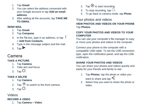- 1. Tap **Gmail**.
- 2. You can select the address connected with your Google account or tap **Add an email address**.
- 3. After adding all the accounts, tap **TAKE ME TO GMAIL**.

#### **SEND MAIL**

- 1. Tap **Gmail**.
- 2. Tap **Compose**.
- 3. In the **To** box, type in an address, or tap > **Add from Contacts**.
- 4. Type in the message subject and the mail.
- 5. Tap  $\blacktriangleright$ .

# Camera

## **TAKE A PICTURE**

- 1. Tap **Camera**.
- 2. Take aim and focus.
- 3. Tap  $O$ .

## **TAKE A SELFIE**

- 1. Tap **Camera**.
- 2. Tap  $\bullet$  to switch to the front camera.
- 3. Tap  $O$ .

## Videos

## **RECORD A VIDEO**

1. Tap **Camera** > **Video**.

- 2. Tap  $\odot$  to start recording.
- 3. To stop recording, tap  $\circledcirc$ .
- 4. To go back to camera mode, tap **Photo**.

## Your photos and videos

**VIEW PHOTOS AND VIDEOS ON YOUR PHONE** Tap **Photos**.

#### **COPY YOUR PHOTOS AND VIDEOS TO YOUR COMPUTER**

You can use your computer's file manager to copy or move your photos and videos to the computer.

Connect your phone to the computer with a compatible USB cable. To set the USB connection type, open the notification panel, and tap the USB notification.

## **SHARE YOUR PHOTOS AND VIDEOS**

You can share your photos and videos quickly and easily for your friends and family to see.

- 1. Tap **Photos**, tap the photo or video you want to share and tap  $\leq$ .
- 2. Select how you want to share the photo or video.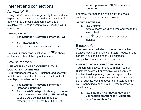# Internet and connections

## Activate Wi-Fi

Using a Wi-Fi connection is generally faster and less expensive than using a mobile data connection. If both Wi-Fi and mobile data connections are available, your phone automatically uses the Wi-Fi connection.

#### **TURN ON WI-FI**

- 1. Tap **Settings** > **Network & internet** > **Wi-Fi**.
- 2. Turn **Use Wi-Fi** ON.
- 3. Select the connection you want to use.

Your Wi-Fi connection is active when  $\blacktriangledown$  is shown on the status bar at the top of the screen.

## Browse the web

#### **USE YOUR PHONE TO CONNECT YOUR COMPUTER TO THE WEB**

Turn your phone into a Wi-Fi hotspot, and use your mobile data connection to access the internet with your laptop or other device.

- 1. Tap **Settings** > **Network & internet** > **Hotspot & tethering**.
- 2. Turn on **Wi-Fi hotspot** to share your mobile data connection over Wi-Fi, **USB tethering** to use a USB connection, Bluetooth tethering to use Bluetooth, or **Ethernet**

**tethering** to use a USB Ethernet cable connection.

For more information on availability and costs, contact your network service provider.

#### **START BROWSING**

- 1. Tap **Chrome**.
- 2. Write a search word or a web address to the search field.
- 3. Tap  $\rightarrow$ , or select from the proposed matches.

## **Bluetooth®**

You can connect wirelessly to other compatible devices, such as phones, computers, headsets, and car kits. You can also send your photos to compatible phones or to your computer.

#### **CONNECT TO A BLUETOOTH DEVICE**

You can connect your phone with many useful Bluetooth devices. For example, with a wireless headset (sold separately), you can speak on the phone hands-free – you can continue what you're doing, such as working at your computer, during a call. Connecting a phone to a Bluetooth device is called pairing.

- 1. Tap **Settings** > **Connected devices** > **Connection preferences** > **Bluetooth**.
- 2. Turn **Bluetooth** to **ON**.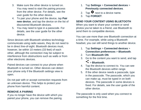- 3. Make sure the other device is turned on. You may need to start the pairing process from the other device. For details, see the user guide for the other device.
- 4. To pair your phone and the device, tap **Pair new device**, and tap the device on the list of discovered Bluetooth devices.
- 5. You may need to type in a passcode. For details, see the user guide for the other device.

Since devices with Bluetooth wireless technology communicate using radio waves, they do not need to be in direct line-of-sight. Bluetooth devices must, however, be within 10 meters (33 feet) of each other, although the connection may be subject to interference from obstructions such as walls or from other electronic devices.

Paired devices can connect to your phone when Bluetooth is turned on. Other devices can detect your phone only if the Bluetooth settings view is open.

Do not pair with or accept connection requests from an unknown device. This helps to protect your phone from harmful content.

#### **REMOVE A PAIRING**

If you no longer have the device with which you paired your phone, you can remove the pairing.

- 1. Tap **Settings** > **Connected devices** > **Previously connected devices**.
- 2. Tap  $\bullet$  next to a device name.
- 3. Tap **FORGET**.

#### **SEND YOUR CONTENT USING BLUETOOTH**

When you want to share your content or send photos you've taken to a friend, use Bluetooth to send them to compatible devices.

You can use more than one Bluetooth connection at a time. For example, while using a Bluetooth headset, you can still send things to another device.

- 1. Tap **Settings** > **Connected devices** > **Connection preferences** > **Bluetooth**.
- 2. Turn **Bluetooth ON**.
- 3. Go to the content you want to send, and tap > **Bluetooth**.
- 4. Tap the device to connect to. You can see the Bluetooth devices within range.
- 5. If the other device needs a passcode, type in the passcode. The passcode, which you can make up, must be typed in on both devices. The passcode in some devices is fixed. For details, see the user guide of the other device.

The passcode is only used when you connect to something for the first time.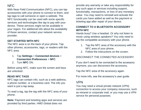## NFC

With Near Field Communication (NFC), you can tap accessories with your phone to connect to them, and tap tags to call someone or open a website. The NFC functionality can be used with some specific services and technologies like tap to pay with your device. These services might not be available in your region. For additional info about the availability of these services, contact your network service provider.

#### **GET STARTED WITH NFC**

The NFC area is on the back of your phone. Tap other phones, accessories, tags, or readers with the NFC area.

- 1. Tap **Settings** > **Connected devices** > **Connection Preferences** > **NFC**.
- 2. Turn **NFC** ON.

Before using NFC, make sure the screen and keys are unlocked.

#### **READ NFC TAGS**

NFC tags can contain info, such as a web address, a phone number, or a business card. The info you want is just a tap away.

To read a tag, tap the tag with the NFC area of your phone.

**Note:** Payment and ticketing apps and services are provided by third parties. HMD Global does not

provide any warranty or take any responsibility for any such apps or services including support, functionality, transactions, or loss of any monetary value. You may need to reinstall and activate the cards you have added as well as the payment or ticketing app after repair of your device.

#### **CONNECT TO A BLUETOOTH ACCESSORY WITH NFC**

Hands busy? Use a headset. Or why not listen to music using wireless speakers? You only need to tap the compatible accessory with your phone.

- 1. Tap the NFC area of the accessory with the NFC area of your phone.
- 2. Follow the instructions on the screen.

#### DISCONNECT THE CONNECTED ACCESSORY

If you don't need to be connected to the accessory anymore, you can disconnect the accessory.

Tap the NFC area of the accessory again.

For more info, see the accessory's user guide.

## VPN

You may need a virtual private network (VPN) connection to access your company resources, such as intranet or corporate mail, or you may use a VPN service for personal purposes.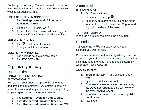Contact your company IT administrator for details of your VPN configuration, or check your VPN service's website for additional info.

#### **USE A SECURE VPN CONNECTION**

- 1. Tap **Settings** > **Network & internet** > **Advanced** > **VPN**.
- 2. To add a VPN profile, tap  $+$ .
- 3. Type in the profile info as instructed by your company IT administrator or VPN service.

#### **EDIT A VPN PROFILE**

- 1. Tap  $\bullet$  next to a profile name.
- 2. Change the info as required.

#### **DELETE A VPN PROFILE**

- 1. Tap settings next to a profile name.
- 2. Tap **FORGET VPN**.

# Organize your day

## Date and time

#### **UPDATE THE TIME AND DATE AUTOMATICALLY**

You can set your phone to update the time, date, and time zone automatically. Automatic update is a network service and may not be available depending on your region or network service provider.

- 1. Tap **Settings** > **System** > **Date & time**.
- 2. Turn **Use network-provided time** ON.
- 3. Turn **Use network-provided time zone** ON.

## Alarm clock

#### **SET AN ALARM**

- 1. Tap **Clock** > **Alarm**.
- 2. To add an alarm, tap  $\bullet$ .
- 3. To modify an alarm, tap it. To set the alarm to repeat on specific dates, tap **Repeat** and highlight the days of the week.

#### **TURN AN ALARM OFF**

When the alarm sounds, swipe the alarm right.

## Calendar

Tap **Calendar**  $> \equiv$ , and select what type of calendar you want to see.

Calendars are added automatically when you add an account to your phone. To add a new account with a calendar, go to the apps menu and tap **Settings** > **Accounts** > **Add account**.

## **ADD AN EVENT**

- 1. In **Calendar**, tap  $+$  and select an entry type.
- 2. Type in the details you want.
- 3. To make an event repeat on certain days, tap **Does not repeat**, and select how often the event should repeat.
- 4. To add a notification to the event, tap **Add notification**.
- 5. Tap **Save**.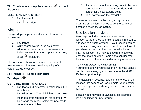**Tip:** To edit an event, tap the event and **form**, and edit the details.

#### **DELETE AN APPOINTMENT**

- 1. Tap the event.
- 2. Tap  $\frac{1}{2}$  > **Delete**.

# Maps

Google Maps helps you find specific locations and businesses.

- 1. Tap **Maps**.
- 2. Write search words, such as a street address or place name, in the search bar.
- 3. Select an item from the proposed matches, or tap  $\alpha$  to search.

The location is shown on the map. If no search results are found, make sure the spelling of your search words is correct.

## **SEE YOUR CURRENT LOCATION** Tap **Maps**  $>$   $\odot$

## **GET DIRECTIONS TO A PLACE**

- 1. Tap **Maps** and enter your destination in the search bar.
- 2. Tap **Directions**. The highlighted icon shows the mode of transportation, for example  $\blacksquare$ . To change the mode, select the new mode under the search bar.
- 3. If you don't want the starting point to be your current location, tap **Your location**, and search for a new starting point.
- 4. Tap **Start** to start the navigation.

The route is shown on the map, along with an estimate of how long it takes to get there. To see detailed directions, tap **Steps**.

## Use location services

Use Maps to find out where you are, attach your location to the photos you take. Location info can be attached to a photo or video, if your location can be determined using satellite or network technology. If you share a photo or video that contains location info, the location info may be shown to those who view the photo or video. Some apps can use your location info to offer you a wider variety of services.

#### **TURN ON LOCATION SERVICES**

Your phone shows your location on the map using a satellite positioning system, Wi-Fi, or network (Cell ID) based positioning.

The availability, accuracy and completeness of the location info depend on, for example, your location, surroundings, and third-party sources, and may be limited.

Location info may not be available, for example, inside buildings or underground.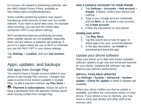For privacy info related to positioning methods, see the HMD Global Privacy Policy, available at http://www.nokia.com/phones/privacy.

Some satellite positioning systems may require transferring small amounts of data over the mobile network. If you want to avoid data costs, for example when traveling, you can turn the mobile data connection OFF in your phone settings.

Wi-Fi positioning improves positioning accuracy when satellite signals are not available, especially when you are indoors or between tall buildings. If you're in a place where the use of Wi-Fi is restricted, you can turn Wi-Fi OFF in your phone settings.

Tap **Settings** > **Location**, and turn **Use location** ON.

# Apps, updates, and backups

## Get apps from Google Play

You need to have a Google account added to your phone to use Google Play services. Charges may apply to some of the content available in Google Play. To add a payment method, tap **Play Store** >

> **Payment & subscriptions**. Always be sure to have a permission from the payment method owner when buying content from Google Play.

#### **ADD A GOOGLE ACCOUNT TO YOUR PHONE**

- 1. Tap **Settings** > **Accounts** > **Add account** > **Google**. If asked, confirm your device lock method.
- 2. Type in your Google account credentials and tap **Next**, or, to create a new account, tap **Create account**.
- 3. Follow the instructions on your phone.

#### **DOWNLOAD APPS**

- 1. Tap **Play Store**.
- 2. Tap the search bar to look for apps, or select apps from your recommendations.
- 3. In the app description, tap **Install** to download and install the app.

## Update your phone software

Keep your phone up to date and accept available software updates to get new and enhanced features for your phone. Updating the software may also improve your phone's performance.

#### **INSTALL AVAILABLE UPDATES** Tap **Settings** > **System** > **Advanced** > **System update** > **Check for update** to check if updates are available.

When your phone notifies you that an update is available, just follow the instructions shown on your phone. If your phone is low on memory, you may need to move your photos and other stuff to the memory card.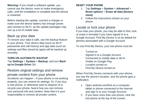**Warning:** If you install a software update, you cannot use the device, even to make emergency calls, until the installation is complete and the device is restarted.

Before starting the update, connect a charger or make sure the device battery has enough power, and connect to Wi-Fi, as the update packages may use up a lot of mobile data.

## Back up your data

To ensure your data is safe, use the backup feature in your phone. Your device data (such as Wi-Fi passwords and call history) and app data (such as settings and files stored by apps) will be backed up remotely.

#### **TURN ON AUTOMATIC BACKUP**

Tap **Settings** > **System** > **Backup**, and turn **Back up to Google Drive** ON.

Restore original settings and remove private content from your phone Accidents can happen – if your phone is not working properly, you can restore its settings. Or, if you buy a new phone, or otherwise want to dispose of or recycle your phone, here's how you can remove your personal info and content. Note that it is your responsibility to remove all private content.

#### **RESET YOUR PHONE**

- 1. Tap **Settings** > **System** > **Advanced** > **Reset options** > **Erase all data (factory reset)**.
- 2. Follow the instructions shown on your phone.

## Locate or lock your phone

If you lose your phone, you may be able to find, lock, or erase it remotely if you have signed in to a Google Account. Find My Device is on by default for phones associated with a Google Account.

To use Find My Device, your lost phone must be:

- Turned on
- Signed in to a Google Account
- Connected to mobile data or Wi-Fi
- Visible on Google Play
- Location turned on
- Find My Device turned on

When Find My Device connects with your phone, you see the phone's location, and the phone gets a notification.

- 1. Open android.com/find on a computer, tablet or phone connected to the internet and sign in to your Google Account.
- 2. If you have more than one phone, click the lost phone at the top of the screen.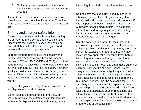3. On the map, see about where the phone is. The location is approximate and may not be accurate.

If your device can't be found, Find My Device will show its last known location, if available. To lock or erase your phone, follow the instructions on the web site.

#### Battery and charger safety info

Once charging of your device is complete, unplug the charger from the device and electrical outlet. Please note that continuous charging should not exceed 12 hours. If left unused, a fully charged battery will lose its charge over time.

Extreme temperatures reduce the capacity and lifetime of the battery. Always keep the battery between 15°C and 25°C (59°F and 77°F) for optimal performance. A device with a hot or cold battery may not work temporarily. Note that the battery may drain quickly in cold temperatures and lose enough power to turn off the phone within minutes. When you are outdoors in cold temperatures, keep your phone warm.

Obey local regulations. Recycle when possible. Do not dispose as household waste.

Do not expose the battery to extremely low air pressure or leave it to extremely high temperature, for example dispose it in a fire, as that may cause

the battery to explode or leak flammable liquid or gas.

Do not dismantle, cut, crush, bend, puncture, or otherwise damage the battery in any way. If a battery leaks, do not let liquid touch skin or eyes. If this happens, immediately flush the affected areas with water, or seek medical help. Do not modify, attempt to insert foreign objects into the battery, or immerse or expose it to water or other liquids. Batteries may explode if damaged.

Use the battery and charger for their intended purposes only. Improper use, or use of unapproved or incompatible batteries or chargers may present a risk of fire, explosion, or other hazard, and may invalidate any approval or warranty. If you believe the battery or charger is damaged, take it to a service center or your phone dealer before continuing to use it. Never use a damaged battery or charger. Only use the charger indoors. Do not charge your device during a lightning storm. When charger is not included in the sales pack, charge your device using the data cable (included) and a USB power adaptor (may be sold separately). You can charge your device with third-party cables and power adaptors that are compliant with USB 2.0 or later and with applicable country regulations and international and regional safety standards. Other adaptors may not meet applicable safety standards, and charging with such adaptors could pose a risk of property loss or personal injury.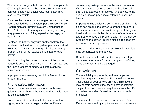Third -party chargers that comply with the applicable CTIA requirements and bear the USB-IF logo, and can connect to your device USB connector, may also be compatible.

Only use the battery with a charging system that has been qualified with the system per CTIA Certification Requirements for Battery System Compliance to IEEE 1725. Use of an unqualified battery or charger may present a risk of fire, explosion, leakage, or other hazard.

Replace the battery only with another battery that has been qualified with the system per this standard, IEEE-Std-1725. Use of an unqualified battery may present a risk of fire, explosion, leakage or other hazard.

Avoid dropping the phone or battery. If the phone or battery is dropped, especially on a hard surface, and the user suspects damage, take it to a service center for inspection.

Improper battery use may result in a fire, explosion or other hazard.

#### Phone safety information

Some of the accessories mentioned in this user guide, such as charger, headset, or data cable, may be sold separately.

Do not connect to products that create an output signal, as this may damage the device. Do not

connect any voltage source to the audio connector. If you connect an external device or headset, other than those approved for use with this device, to the audio connector, pay special attention to volume levels.

**Important:** The device screen is made of glass. This glass can break if the device is dropped on a hard surface or receives a substantial impact. If the glass breaks, do not touch the glass parts of the device or attempt to remove the broken glass from the device. Stop using the device until the glass is replaced by authorized service personnel.

Parts of the device are magnetic. Metallic materials may be attracted to the device.

Do not place credit cards or other magnetic stripe cards near the device for extended periods of time, since the cards may be damaged.

# **Copyrights**

The availability of products, features, apps and services may vary by region. For more info, contact your dealer or your service provider. This device may contain commodities, technology or software subject to export laws and regulations from the US and other countries. Diversion contrary to law is prohibited.

The contents of this document are provided "as is". Except as required by applicable law, no warranties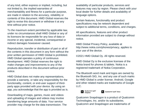of any kind, either express or implied, including, but not limited to, the implied warranties of merchantability and fitness for a particular purpose, are made in relation to the accuracy, reliability or contents of this document. HMD Global reserves the right to revise this document or withdraw it at any time without prior notice.

To the maximum extent permitted by applicable law, under no circumstances shall HMD Global or any of its licensors be responsible for any loss of data or income or any special, incidental, consequential or indirect damages howsoever caused.

Reproduction, transfer or distribution of part or all of the contents in this document in any form without the prior written permission of HMD Global is prohibited. HMD Global operates a policy of continuous development. HMD Global reserves the right to make changes and improvements to any of the products described in this document without prior notice.

HMD Global does not make any representations, provide a warranty, or take any responsibility for the functionality, content, or end-user support of thirdparty apps provided with your device. By using an app, you acknowledge that the app is provided as is.

Downloading of maps, games, music and videos and uploading of images and videos may involve transferring large amounts of data. Your service provider may charge for the data transmission. The availability of particular products, services and features may vary by region. Please check with your local dealer for further details and availability of language options.

Certain features, functionality and product specifications may be network dependent and subject to additional terms, conditions, and charges.

All specifications, features and other product information provided are subject to change without notice.

HMD Global Privacy Policy, available at http://www.nokia.com/phones/privacy, applies to your use of the device.

©2021 HMD Global Oy. All rights reserved.

HMD Global Oy is the exclusive licensee of the Nokia brand for phones & tablets. Nokia is a registered trademark of Nokia Corporation.

The Bluetooth word mark and logos are owned by the Bluetooth SIG, Inc. and any use of such marks by HMD Global is under license. Android, Google and other related marks are trademarks of Google  $\sqcup$  C.



 $\mathsf{X}$ Qualcomm' aptX' Voice

Qualcomm Snapdragon is a product of Qualcomm Technologies, Inc. and/or its subsidiaries. Qualcomm and Snapdragon are trademarks of